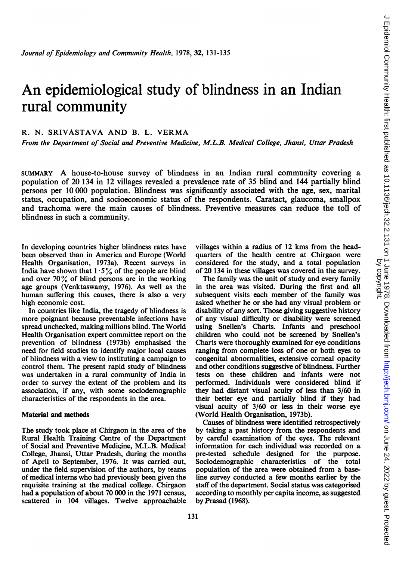# An epidemiological study of blindness in an Indian rural community

## R. N. SRIVASTAVA AND B. L. VERMA

From the Department of Social and Preventive Medicine, M.L.B. Medical College, Jhansi, Uttar Pradesh

SUMMARY A house-to-house survey of blindness in an Indian rural community covering <sup>a</sup> population of 20 134 in 12 villages revealed a prevalence rate of 35 blind and 144 partially blind persons per 10 000 population. Blindness was significantly associated with the age, sex, marital status, occupation, and socioeconomic status of the respondents. Caratact, glaucoma, smallpox and trachoma were the main causes of blindness. Preventive measures can reduce the toll of blindness in such a community.

In developing countries higher blindness rates have been observed than in America and Europe (World Health Organisation, 1973a). Recent surveys in India have shown that  $1.5\%$  of the people are blind and over  $70\%$  of blind persons are in the working age groups (Venktaswamy, 1976). As well as the human suffering this causes, there is also a very high economic cost.

In countries like India, the tragedy of blindness is more poignant because preventable infections have spread unchecked, making millions blind. The World Health Organisation expert committee report on the prevention of blindness (1973b) emphasised the need for field studies to identify major local causes of blindness with a view to instituting a campaign to control them. The present rapid study of blindness was undertaken in a rural community of India in order to survey the extent of the problem and its association, if any, with some sociodemographic characteristics of the respondents in the area.

## Material and methods

The study took place at Chirgaon in the area of the Rural Health Training Centre of the Department of Social and Preventive Medicine, M.L.B. Medical College, Jhansi, Uttar Pradesh, during the months of April to September, 1976. It was carried out, under the field supervision of the authors, by teams of medical interns who had previously been given the requisite training at the medical college. Chirgaon had a population of about 70 000 in the 1971 census, scattered in 104 villages. Twelve approachable villages within a radius of 12 kms from the headquarters of the health centre at Chirgaon were considered for the study, and a total population of 20 134 in these villages was covered in the survey.

The family was the unit of study and every family in the area was visited. During the first and all subsequent visits each member of the family was asked whether he or she had any visual problem or disability of any sort. Those giving suggestive history of any visual difficulty or disability were screened using Snellen's Charts. Infants and preschool children who could not be screened by Snellen's Charts were thoroughly examined for eye conditions ranging from complete loss of one or both eyes to congenital abnormalities, extensive corneal opacity and other conditions suggestive of blindness. Further tests on these children and infants were not performed. Individuals were considered blind if they had distant visual acuity of less than 3/60 in their better eye and partially blind if they had visual acuity of 3/60 or less in their worse eye (World Health Organisation, 1973b).

Causes of blindness were identified retrospectively by taking a past history from the respondents and by careful examination of the eyes. The relevant information for each individual was recorded on a pre-tested schedule designed for the purpose. Sociodemographic characteristics of the total population of the area were obtained from a baseline survey conducted a few months earlier by the staff of the department. Social status was categorised according to monthly per capita income, as suggested by Prasad (1968).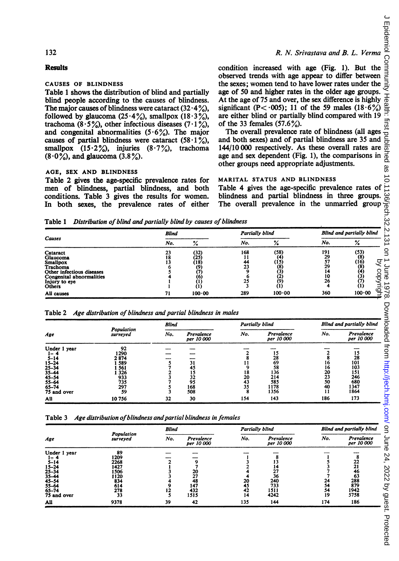#### 132

#### **Results**

## CAUSES OF BLINDNESS

Table <sup>1</sup> shows the distribution of blind and partially blind people according to the causes of blindness. The major causes of blindness were cataract  $(32.4\%)$ , followed by glaucoma  $(25.4\%)$ , smallpox  $(18.3\%)$ , trachoma (8.5%), other infectious diseases (7.1%), and congenital abnormalities  $(5.6\%)$ . The major causes of partial blindness were cataract  $(58.1\%)$ , smallpox  $(15.2\%)$ , injuries  $(8.7\%)$ , trachoma  $(8.0\%)$ , and glaucoma  $(3.8\%)$ .

#### AGE, SEX AND BLINDNESS

## R. N. Srivastava and B. L. Verma

condition increased with age (Fig. 1). But the observed trends with age appear to differ between the sexes; women tend to have lower rates under the age of 50 and higher rates in the older age groups. At the age of 75 and over, the sex difference is highly significant (P< 005); 11 of the 59 males (18.6%) are either blind or partially blind compared with 19 of the 33 females  $(57.6\%)$ .

The overall prevalence rate of blindness (all ages and both sexes) and of partial blindness are 35 and 144/10 000 respectively. As these overall rates are age and sex dependent (Fig. 1), the comparisons in other groups need appropriate adjustments.

#### MARITAL STATUS AND BLINDNESS

Table 1 Distribution of blind and partially blind by causes of blindness

|                                                                                                                                                | <b>Blind</b> |                                           | Partially blind       |                                                                  | Blind and partially blind               |                                                  |  |
|------------------------------------------------------------------------------------------------------------------------------------------------|--------------|-------------------------------------------|-----------------------|------------------------------------------------------------------|-----------------------------------------|--------------------------------------------------|--|
| <b>Causes</b>                                                                                                                                  | No.          | %                                         | No.                   | ℅                                                                | No.                                     | ۰,<br>70                                         |  |
| Cataract<br>Glaucoma<br><b>Smallpox</b><br>Trachoma<br>Other infectious diseases<br>Congenital abnormalities<br>Injury to eye<br><b>Others</b> | 23<br>18     | (32)<br>(25'<br>(18)<br>(9)<br>(6)<br>(1) | 168<br>44<br>23<br>25 | (58)<br>$\binom{4}{15}$<br>(8)<br>(2)<br>(9)<br>$\left(1\right)$ | 191<br>29<br>57<br>29<br>14<br>10<br>26 | $\binom{53}{8}$<br>्र<br>(16)<br>(8)<br>ဒ္ဓ<br>پ |  |
| All causes                                                                                                                                     | 71           | $100 - 00$                                | 289                   | 100.00                                                           | 360                                     | Õ<br>100.00                                      |  |

|  | Table 2 Age distribution of blindness and partial blindness in males |  |  |  |  |
|--|----------------------------------------------------------------------|--|--|--|--|
|--|----------------------------------------------------------------------|--|--|--|--|

| Causes                                                                                                                                                |                                                                      | <b>Blind</b>                                    |                                                                                  | Partially blind                                           |                                                                      | Blind and partially blind                                  |                                                                                                               |  |
|-------------------------------------------------------------------------------------------------------------------------------------------------------|----------------------------------------------------------------------|-------------------------------------------------|----------------------------------------------------------------------------------|-----------------------------------------------------------|----------------------------------------------------------------------|------------------------------------------------------------|---------------------------------------------------------------------------------------------------------------|--|
|                                                                                                                                                       |                                                                      | No.                                             | %                                                                                | No.                                                       | ℅                                                                    | No.                                                        | $\%$                                                                                                          |  |
| Cataract<br>Glaucoma<br><b>Smallpox</b><br>Trachoma<br>Other infectious diseases<br>Congenital abnormalities<br>Injury to eye<br>Others<br>All causes |                                                                      | 23<br>18<br>13<br>$\frac{6}{5}$<br>1<br>1<br>71 | $\binom{32}{25}$<br>(18)<br>$\stackrel{(9)}{(7)}$<br>(6)<br>ÀÍ)<br>ÀÍ)<br>100.00 | 168<br>11<br>44<br>23<br>وّ<br>6<br>$\frac{25}{3}$<br>289 | (58)<br>(4)<br>(IS)<br>$\binom{8}{3}$<br>(2)<br>(9)<br>(1)<br>100.00 | 191<br>$\frac{29}{57}$<br>29<br>14<br>10<br>26<br>4<br>360 | (53)<br>$\tilde{a}$<br>11 June 1978.<br>by copyright.<br>$(16)$<br>$(8)$<br>$(4)$<br>$(3)$<br>$(7)$<br>100.00 |  |
|                                                                                                                                                       | Table 2 Age distribution of blindness and partial blindness in males |                                                 |                                                                                  |                                                           |                                                                      |                                                            |                                                                                                               |  |
|                                                                                                                                                       | Population                                                           | <b>Blind</b>                                    |                                                                                  | Partially blind                                           |                                                                      |                                                            | Blind and partially blind                                                                                     |  |
| Age                                                                                                                                                   | surveyed                                                             | No.                                             | Prevalence<br>per 10 000                                                         | No.                                                       | Prevalence<br>per 10 000                                             | No.                                                        | Prevalence<br>per 10 000                                                                                      |  |
| Under 1 year                                                                                                                                          | 92<br>1290                                                           |                                                 |                                                                                  | $\overline{\mathbf{c}}$                                   | 15                                                                   | $\mathbf{2}$                                               | 15                                                                                                            |  |
| 1–4<br>$5 - 14$                                                                                                                                       | 2 874                                                                |                                                 |                                                                                  | 8                                                         | 28                                                                   | 8                                                          | 28                                                                                                            |  |
| 15–24<br>25–34                                                                                                                                        | 1 589<br>1 561                                                       | $\frac{5}{7}$ $\frac{2}{3}$ $\frac{3}{7}$       | 31<br>45                                                                         | 11<br>$\boldsymbol{9}$                                    | 69<br>58                                                             | 16<br>16                                                   | 101<br>103                                                                                                    |  |
| 35–44                                                                                                                                                 | 1 3 2 6                                                              |                                                 | 15                                                                               | 18                                                        | 136                                                                  | 20                                                         | 151                                                                                                           |  |
| 45–54                                                                                                                                                 | 933                                                                  |                                                 | 32                                                                               | 20                                                        | 214                                                                  | 23<br>50                                                   | 246<br>680                                                                                                    |  |
| 55–64<br>65-74                                                                                                                                        | 735<br>297                                                           |                                                 | 95<br>168                                                                        | 43<br>35                                                  | 585<br>1178                                                          | 40                                                         | 1347                                                                                                          |  |
| 75 and over                                                                                                                                           | 59                                                                   | $\frac{5}{3}$                                   | 508                                                                              | $\bar{8}$                                                 | 1356                                                                 | 11                                                         | 1864                                                                                                          |  |
| All                                                                                                                                                   | 10756                                                                | 32                                              | 30                                                                               | 154                                                       | 143                                                                  | 186                                                        | 173                                                                                                           |  |
| Table 3                                                                                                                                               | Age distribution of blindness and partial blindness in females       |                                                 |                                                                                  |                                                           |                                                                      |                                                            |                                                                                                               |  |
|                                                                                                                                                       | Population                                                           | <b>Blind</b>                                    |                                                                                  | Partially blind                                           |                                                                      | <b>Blind and partially blind</b>                           |                                                                                                               |  |
| Age                                                                                                                                                   | surveved                                                             | No.                                             | Prevalence<br>per 10 000                                                         | No.                                                       | Prevalence<br>per 10 000                                             | No.                                                        | Prevalence<br>per 10 000                                                                                      |  |
| Under 1 year<br>$1 - 4$                                                                                                                               | 89<br>1209                                                           |                                                 |                                                                                  | $\mathbf{1}$                                              | 8                                                                    | 1                                                          | 8                                                                                                             |  |
| 5-14                                                                                                                                                  | 2268                                                                 | $\frac{2}{1}$                                   | 9                                                                                |                                                           | 13                                                                   | 5                                                          | $\frac{22}{21}$                                                                                               |  |
| 15–24                                                                                                                                                 | 1427                                                                 |                                                 | 7                                                                                | $\frac{3}{2}$                                             | 14                                                                   |                                                            | 46                                                                                                            |  |
| 25–34                                                                                                                                                 | 1506<br>1120                                                         | 3<br>3                                          | $\frac{20}{27}$                                                                  | 4                                                         | 27<br>36                                                             | 3<br>7<br>7                                                | 63                                                                                                            |  |
| -54                                                                                                                                                   | 834                                                                  | $\frac{4}{9}$                                   | 48                                                                               | 20<br>45                                                  | 240                                                                  | 24                                                         | 288                                                                                                           |  |
| 65–74                                                                                                                                                 | 614<br>278                                                           | 12                                              | 147<br>432                                                                       | 42                                                        | 733<br>1511                                                          | 54<br>54                                                   | 879<br>1942                                                                                                   |  |
| 75 and over                                                                                                                                           | 33                                                                   | 5                                               | 1515                                                                             | 14                                                        | 4242                                                                 | 19                                                         | 5758                                                                                                          |  |
|                                                                                                                                                       |                                                                      |                                                 |                                                                                  |                                                           | 144                                                                  | 174                                                        | 186                                                                                                           |  |

Table 3 Age distribution of blindness and partial blindness in females

| Age                                                                               |                        | <b>Blind</b> |                          | Partially blind |                          | Blind and partially blind |                          |  |
|-----------------------------------------------------------------------------------|------------------------|--------------|--------------------------|-----------------|--------------------------|---------------------------|--------------------------|--|
|                                                                                   | Population<br>surveyed | No.          | Prevalence<br>per 10 000 | No.             | Prevalence<br>per 10 000 | No.                       | Prevalence<br>per 10 000 |  |
| Under 1 year                                                                      | 89                     |              |                          |                 |                          |                           |                          |  |
| $1-4$<br>$5-14$<br>$15-24$<br>$25-34$<br>$35-44$<br>$45-54$<br>$55-64$<br>$65-74$ | 1209                   |              |                          |                 |                          |                           |                          |  |
|                                                                                   | 2268                   |              |                          |                 |                          |                           | 22                       |  |
|                                                                                   | 1427                   |              |                          |                 | 14                       |                           | 21                       |  |
|                                                                                   | 1506                   |              | 20                       |                 | 27                       |                           | 46                       |  |
|                                                                                   | 1120                   |              | 27                       |                 | 36                       |                           | 63                       |  |
|                                                                                   | 834                    |              | 48                       | 20              | 240                      | 24                        | 288                      |  |
|                                                                                   | 614                    |              | 147                      | 45              | 733                      | 54                        | 879                      |  |
|                                                                                   | 278                    | 12           | 432                      | 42              | 1511                     | 54                        | 1942                     |  |
| 75 and over                                                                       | 33                     |              | 1515                     | 14              | 4242                     | 19                        | 5758                     |  |
| All                                                                               | 9378                   | 39           | 42                       | 135             | 144                      | 174                       | 186                      |  |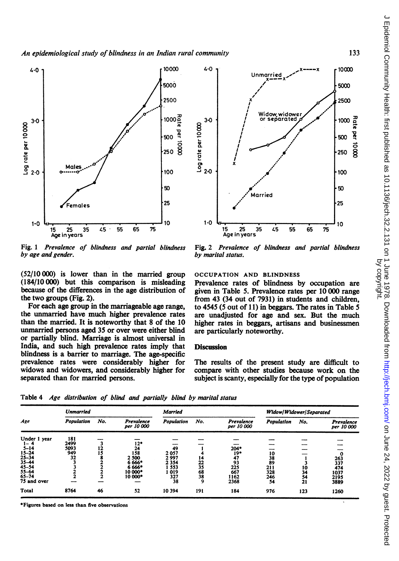

Fig. <sup>1</sup> Prevalence of blindness and partial blindness by age and gender.

(52/10 000) is lower than in the married group (184/10 000) but this comparison is misleading because of the differences in the age distribution of the two groups (Fig. 2).

For each age group in the marriageable age range, the unmarried have much higher prevalence rates than the married. It is noteworthy that 8 of the 10 unmarried persons aged 35 or over were either blind or partially blind. Marriage is almost universal in India, and such high prevalence rates imply that blindness is a barrier to marriage. The age-specific prevalence rates were considerably higher for widows and widowers, and considerably higher for separated than for married persons.



Fig. 2 Prevalence of blindness and partial blindness by marital status.

## OCCUPATION AND BLINDNESS

Prevalence rates of blindness by occupation are given in Table 5. Prevalence rates per 10 000 range from 43 (34 out of 7931) in students and children, to <sup>4545</sup> (5 out of 11) in beggars. The rates in Table <sup>5</sup> are unadjusted for age and sex. But the much higher rates in beggars, artisans and businessmen are particularly noteworthy.

#### **Discussion**

The results of the present study are difficult to compare with other studies because work on the subject is scanty, especially for the type of population

Table 4 Age distribution of blind and partially blind by marital status

|                    | <b>Unmarried</b>  |     |                          | <b>Married</b> |                 |                          | Widow/Widower/Separated |     |                          |
|--------------------|-------------------|-----|--------------------------|----------------|-----------------|--------------------------|-------------------------|-----|--------------------------|
| Age                | <b>Population</b> | No. | Prevalence<br>per 10 000 | Population     | No.             | Prevalence<br>per 10 000 | Population              | No. | Prevalence<br>per 10 000 |
| Under 1 year       | 181               |     |                          |                |                 |                          |                         |     |                          |
| 1–4                | 2499              |     | $12*$                    |                |                 |                          |                         |     |                          |
|                    | 5093              | 12  | 24                       | 49             |                 | 204*                     |                         |     |                          |
| $5 - 14$<br>15-24  | 949               | 15  | 158                      | 2057           |                 | 19*                      | 10                      |     |                          |
| $25 - 34$          | 32                |     | 2 500                    | 2997           | 14              | 47                       |                         |     | 263                      |
| $35 - 44$<br>45-54 |                   |     | 6 6 6 6 *                | 2 3 5 4        | 22              | 93                       | $\frac{38}{89}$         |     | 337                      |
|                    |                   |     | 6 6 6 6 *                | 553            | 35              | 225                      | 211                     | 10  | 474                      |
| $55 - 64$          |                   |     | 10 000*                  | 019            |                 | 667                      | 328                     | 34  | 1037                     |
| $65 - 74$          |                   |     | 10 000*                  | 327            | $\frac{68}{38}$ | 1162                     | 246                     | 54  | 2195                     |
| 75 and over        |                   |     |                          | 38             | 9               | 2368                     | 54                      | 21  | 3889                     |
| Total              | 8764              | 46  | 52                       | 10 394         | 191             | 184                      | 976                     | 123 | 1260                     |

Figures based on less than five observations

133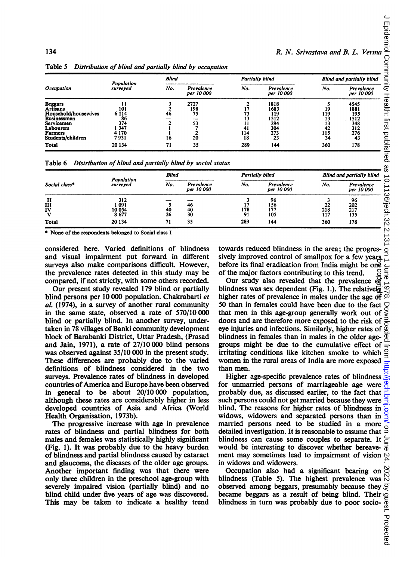| 134                                                                                                                                                        |                                                                           |                                                                          |                                                          |                                                                           |                                                               |                                                      | R. N. Srivastava and B. L. Verma                              |  |
|------------------------------------------------------------------------------------------------------------------------------------------------------------|---------------------------------------------------------------------------|--------------------------------------------------------------------------|----------------------------------------------------------|---------------------------------------------------------------------------|---------------------------------------------------------------|------------------------------------------------------|---------------------------------------------------------------|--|
| Table 5                                                                                                                                                    | Distribution of blind and partially blind by occupation                   | <b>Blind</b>                                                             |                                                          | <b>Partially blind</b>                                                    |                                                               | Blind and partially blind                            |                                                               |  |
| Occupation                                                                                                                                                 | Population<br>surveyed                                                    | No.                                                                      | Prevalence<br>per 10 000                                 | No.                                                                       | Prevalence<br>per 10 000                                      | No.                                                  | Prevalence<br>per 10 000                                      |  |
| <b>Beggars</b><br><b>Artisans</b><br>Household/housewives<br><b>Businessmen</b><br>Servicemen<br>Labourers<br><b>Farmers</b><br>Students/children<br>Total | 11<br>101<br>6 1 1 4<br>86<br>374<br>1 3 4 7<br>4 1 7 0<br>7931<br>20 134 | 3<br>$\mathbf{2}$<br>46<br>$\overline{\mathbf{2}}$<br>1<br>1<br>16<br>71 | 2727<br>198<br>75<br>53<br>7<br>$\mathbf{2}$<br>20<br>35 | $\overline{\mathbf{2}}$<br>17<br>73<br>13<br>11<br>41<br>114<br>18<br>289 | 1818<br>1683<br>119<br>1512<br>294<br>304<br>273<br>23<br>144 | 5<br>19<br>119<br>13<br>13<br>42<br>115<br>34<br>360 | 4545<br>1881<br>195<br>1512<br>348<br>312<br>276<br>43<br>178 |  |
| Table 6                                                                                                                                                    | Distribution of blind and partially blind by social status                |                                                                          |                                                          |                                                                           |                                                               |                                                      |                                                               |  |
|                                                                                                                                                            |                                                                           | <b>Blind</b>                                                             |                                                          | Partially blind                                                           |                                                               |                                                      | Blind and partially blind                                     |  |
| Social class*                                                                                                                                              | Population<br>surveyed                                                    | No.                                                                      | Prevalence<br>per 10 000                                 | No.                                                                       | Prevalence<br>per 10 000                                      | No.                                                  | Prevalence<br>per 10 000                                      |  |
| п<br>III<br>IV<br>v<br>Total                                                                                                                               | 312<br>1091<br>10054<br>8677<br>20 134                                    | 5<br>40<br>26<br>71                                                      | 46<br>40<br>30<br>35                                     | 3<br>17<br>178<br>91<br>289                                               | 96<br>156<br>177<br>105<br>144                                | 3<br>22<br>218<br>117<br>360                         | 96<br>202<br>217<br>135<br>178                                |  |

Table 5 Distribution of blind and partially blind by occupation

| Social class*        |                               | <b>Blind</b> |                          | Partially blind |                          | Blind and partially blind |                          |
|----------------------|-------------------------------|--------------|--------------------------|-----------------|--------------------------|---------------------------|--------------------------|
|                      | <b>Population</b><br>surveyed | No.          | Prevalence<br>per 10 000 | No.             | Prevalence<br>per 10 000 | No.                       | Prevalence<br>per 10 000 |
| II<br>III<br>IV<br>v | 312<br>-091<br>10 054<br>8677 | 40<br>26     | 46<br>40<br>30           | 178<br>91       | 96<br>156<br>177<br>105  | 22<br>218<br>117          | $\frac{96}{202}$<br>135  |
| Total                | 20 134                        | 71           | 35                       | 289             | 144                      | 360                       | 178                      |

considered here. Varied definitions of blindness and visual impairment put forward in different surveys also make comparisons difficult. However, the prevalence rates detected in this study may be compared, if not strictly, with some others recorded.

Our present study revealed 179 blind or partially blind persons per 10 000 population. Chakrabarti et al. (1974), in a survey of another rural community in the same state, observed a rate of 570/10 000 blind or partially blind. In another survey, undertaken in 78 villages of Banki community development block of Barabanki District, Uttar Pradesh, (Prasad and Jain, 1971), a rate of 27/10 000 blind persons was observed against 35/10 000 in the present study. These differences are probably due to the varied definitions of blindness considered in the two surveys. Prevalence rates of blindness in developed countries of America and Europe have been observed in general to be about 20/10 000 population, although these rates are considerably higher in less developed countries of Asia and Africa (World Health Organisation, 1973b).

The progressive increase with age in prevalence rates of blindness and partial blindness for both males and females was statistically highly significant (Fig. 1). It was probably due to the heavy burden of blindness and partial blindness caused by cataract and glaucoma, the diseases of the older age groups. Another important finding was that there were only three children in the preschool age-group with severely impaired vision (partially blind) and no blind child under five years of age was discovered. This may be taken to indicate a healthy trend

towards reduced blindness in the area; the progressively improved control of smallpox for a few years before its final eradication from India might be one<br>of the major factors contributing to this trend. of the major factors contributing to this trend.

Our study also revealed that the prevalence  $\frac{d\mathbf{r}}{dt}$  indness was sex dependent (Fig. 1.). The relatively  $\frac{d\mathbf{r}}{dt}$ blindness was sex dependent (Fig. 1.). The relatively  $\circ$  higher rates of prevalence in males under the age of  $\circ$ higher rates of prevalence in males under the age  $\overrightarrow{d}$ 50 than in females could have been due to the fact  $\bigcup_{\alpha}$  that men in this age-group generally work out of  $\leq$  doors and are therefore more exposed to the risk of  $\frac{1}{\alpha}$  eye injuries and infections. Similarly, hi that men in this age-group generally work out of doors and are therefore more exposed to the risk of eye injuries and infections. Similarly, higher rates of blindness in females than in males in the older agegroups might be due to the cumulative effect of irritating conditions like kitchen smoke to which women in the rural areas of India are more exposed than men. by copyright.

Higher age-specific prevalence rates of blindness for unmarried persons of marriageable age were probably due, as discussed earlier, to the fact that such persons could not get married because they were blind. The reasons for higher rates of blindness in widows, widowers and separated persons than in married persons need to be studied in a more detailed investigation. It is reasonable to assume that blindness can cause some couples to separate. It  $\geq$  would be interesting to discover whether bereavewould be interesting to discover whether bereavement may sometimes lead to impairment of vision  $\sim$ in widows and widowers.

Occupation also had a significant bearing on blindness (Table 5). The highest prevalence was observed among beggars, presumably because they  $\mathcal{F}$ became beggars as a result of being blind. Their blindness in turn was probably due to poor socio